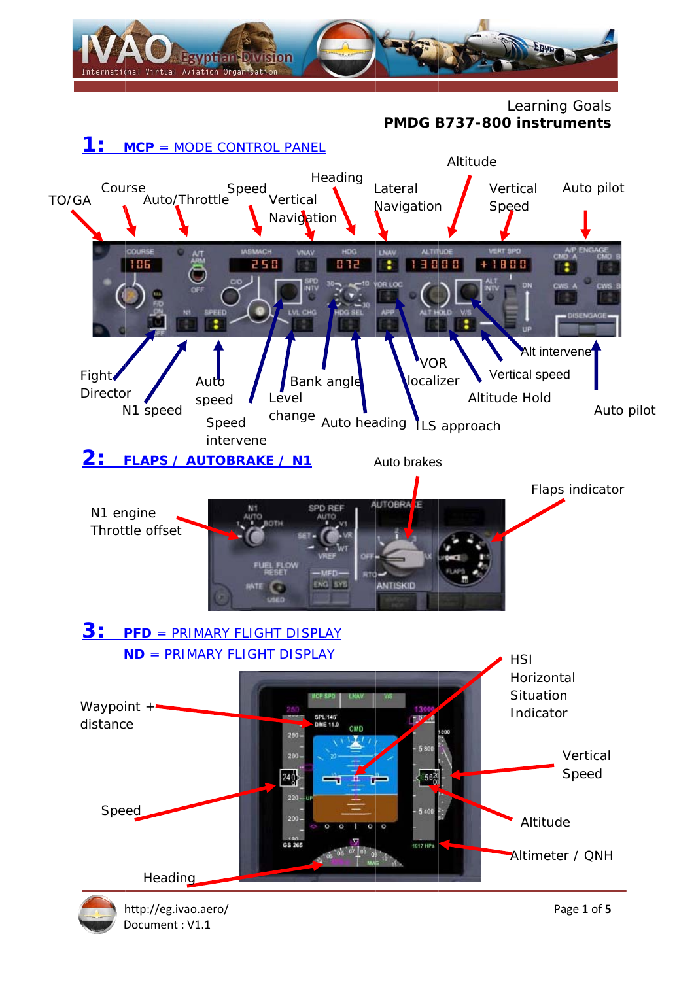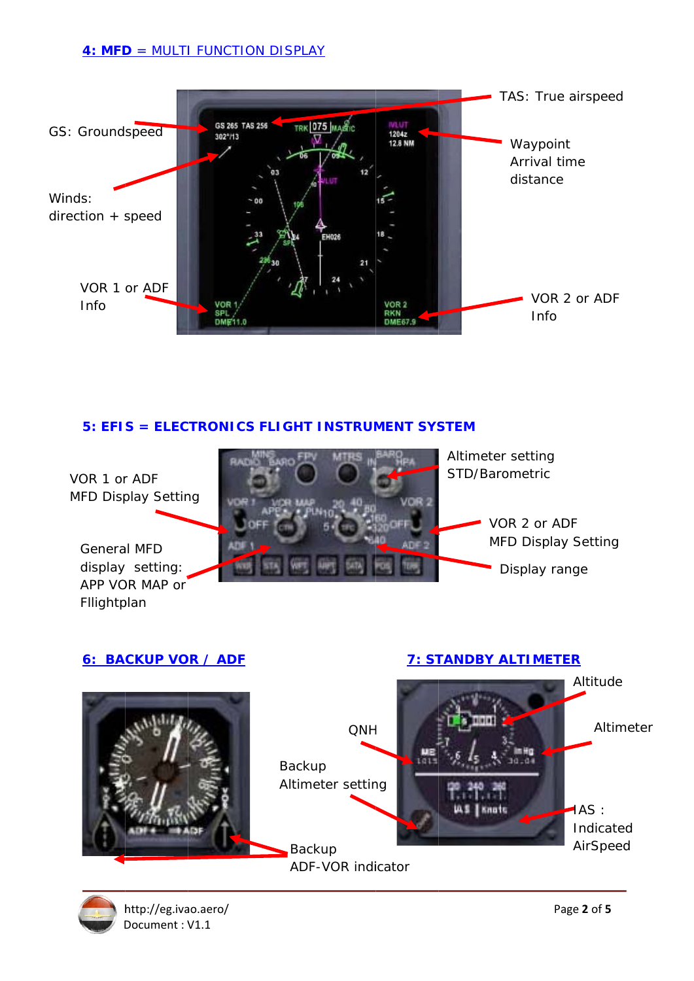## **4: MFD = MULTI FUNCTION DISPLAY**



# 5: EFIS = ELECTRONICS FLIGHT INSTRUMENT SYSTEM







http://eg.ivao.aero/ Document: V1.1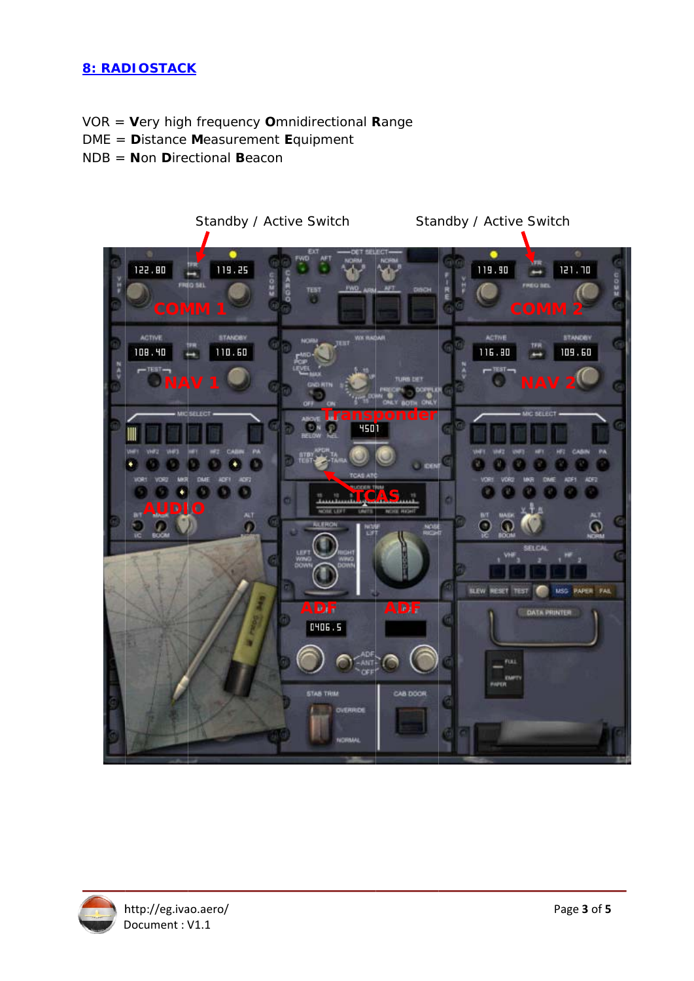# **8: RADIOSTACK**

- VOR = Very high frequency Omnidirectional Range
- DME = Distance Measurement Equipment
- $NDB =$  **Non Directional Beacon**



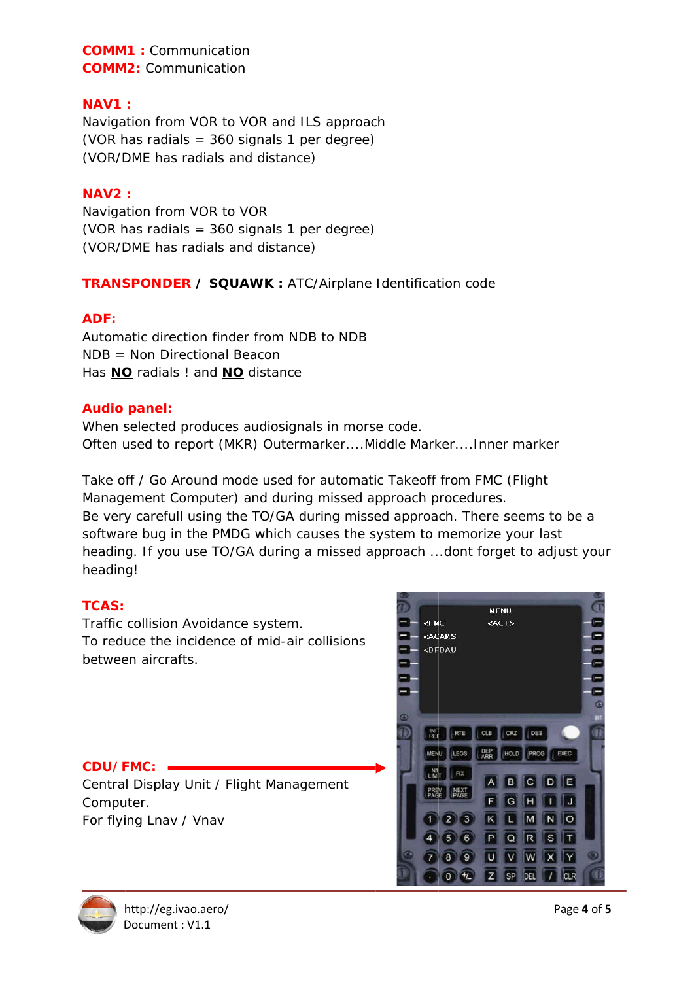**COMM1:** Communication **COMM2: Communication** 

### $NAV1$

Navigation from VOR to VOR and ILS approach (VOR has radials =  $360$  signals 1 per degree) (VOR/DME has radials and distance)

### **NAV2:**

Navigation from VOR to VOR (VOR has radials =  $360$  signals 1 per degree) (VOR/DME has radials and distance)

# **TRANSPONDER / SQUAWK: ATC/Airplane Identification code**

#### ADF:

Automatic direction finder from NDB to NDB  $NDB = Non Directional Beacon$ Has **NO** radials ! and **NO** distance

#### **Audio panel:**

When selected produces audiosignals in morse code. Often used to report (MKR) Outermarker....Middle Marker....Inner marker

Take off / Go Around mode used for automatic Takeoff from FMC (Flight Management Computer) and during missed approach procedures. Be very carefull using the TO/GA during missed approach. There seems to be a software bug in the PMDG which causes the system to memorize your last heading. If you use TO/GA during a missed approach ...dont forget to adjust your heading!

## **TCAS:**

Traffic collision Avoidance system. To reduce the incidence of mid-air collisions between aircrafts.

#### $CDU/FMC:$   $-$

Central Display Unit / Flight Management Computer. For flying Lnav / Vnav